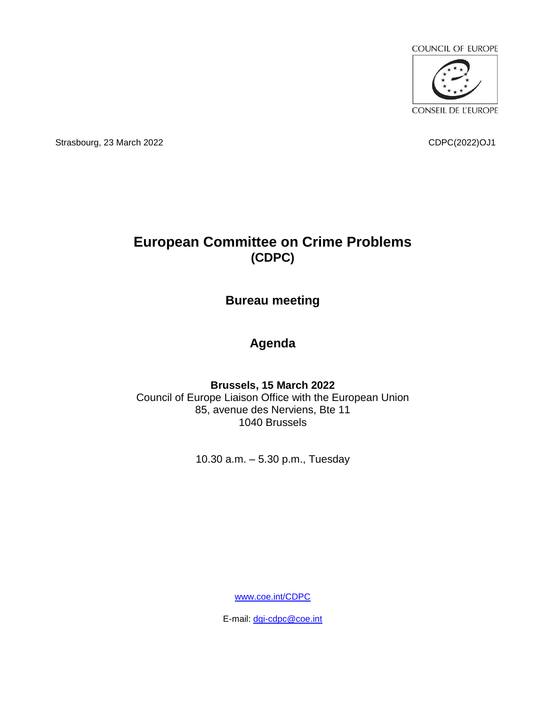

Strasbourg, 23 March 2022 CDPC(2022)OJ1

## **European Committee on Crime Problems (CDPC)**

**Bureau meeting**

## **Agenda**

**Brussels, 15 March 2022** Council of Europe Liaison Office with the European Union 85, avenue des Nerviens, Bte 11 1040 Brussels

10.30 a.m. – 5.30 p.m., Tuesday

[www.coe.int/CDPC](http://www.coe.int/CDPC)

E-mail: [dgi-cdpc@coe.int](mailto:dgi-cdpc@coe.int)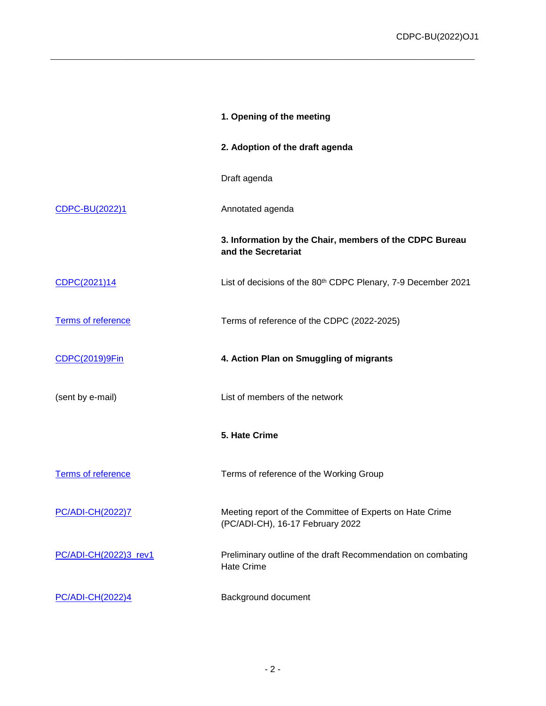|                           | 1. Opening of the meeting                                                                    |
|---------------------------|----------------------------------------------------------------------------------------------|
|                           | 2. Adoption of the draft agenda                                                              |
|                           | Draft agenda                                                                                 |
| <b>CDPC-BU(2022)1</b>     | Annotated agenda                                                                             |
|                           | 3. Information by the Chair, members of the CDPC Bureau<br>and the Secretariat               |
| CDPC(2021)14              | List of decisions of the 80 <sup>th</sup> CDPC Plenary, 7-9 December 2021                    |
| Terms of reference        | Terms of reference of the CDPC (2022-2025)                                                   |
| CDPC(2019)9Fin            | 4. Action Plan on Smuggling of migrants                                                      |
| (sent by e-mail)          | List of members of the network                                                               |
|                           | 5. Hate Crime                                                                                |
| <b>Terms of reference</b> | Terms of reference of the Working Group                                                      |
| PC/ADI-CH(2022)7          | Meeting report of the Committee of Experts on Hate Crime<br>(PC/ADI-CH), 16-17 February 2022 |
| PC/ADI-CH(2022)3_rev1     | Preliminary outline of the draft Recommendation on combating<br><b>Hate Crime</b>            |
| PC/ADI-CH(2022)4          | Background document                                                                          |

\_\_\_\_\_\_\_\_\_\_\_\_\_\_\_\_\_\_\_\_\_\_\_\_\_\_\_\_\_\_\_\_\_\_\_\_\_\_\_\_\_\_\_\_\_\_\_\_\_\_\_\_\_\_\_\_\_\_\_\_\_\_\_\_\_\_\_\_\_\_\_\_\_\_\_\_\_\_\_\_\_\_\_\_\_\_\_\_\_\_\_\_\_\_\_\_\_\_\_\_\_\_\_\_\_\_\_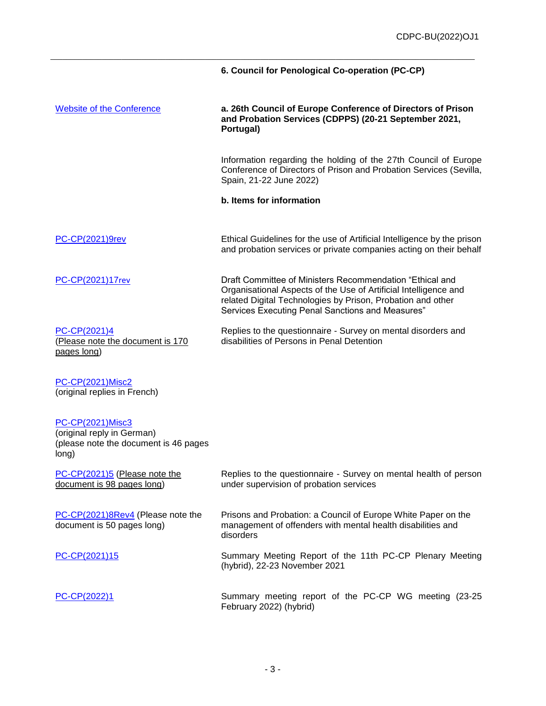|                                                                                                         | 6. Council for Penological Co-operation (PC-CP)                                                                                                                                                                                                 |
|---------------------------------------------------------------------------------------------------------|-------------------------------------------------------------------------------------------------------------------------------------------------------------------------------------------------------------------------------------------------|
| <b>Website of the Conference</b>                                                                        | a. 26th Council of Europe Conference of Directors of Prison<br>and Probation Services (CDPPS) (20-21 September 2021,<br>Portugal)                                                                                                               |
|                                                                                                         | Information regarding the holding of the 27th Council of Europe<br>Conference of Directors of Prison and Probation Services (Sevilla,<br>Spain, 21-22 June 2022)                                                                                |
|                                                                                                         | b. Items for information                                                                                                                                                                                                                        |
| <b>PC-CP(2021)9rev</b>                                                                                  | Ethical Guidelines for the use of Artificial Intelligence by the prison<br>and probation services or private companies acting on their behalf                                                                                                   |
| PC-CP(2021)17rev                                                                                        | Draft Committee of Ministers Recommendation "Ethical and<br>Organisational Aspects of the Use of Artificial Intelligence and<br>related Digital Technologies by Prison, Probation and other<br>Services Executing Penal Sanctions and Measures" |
| PC-CP(2021)4<br>(Please note the document is 170<br>pages long)                                         | Replies to the questionnaire - Survey on mental disorders and<br>disabilities of Persons in Penal Detention                                                                                                                                     |
| <b>PC-CP(2021)Misc2</b><br>(original replies in French)                                                 |                                                                                                                                                                                                                                                 |
| <b>PC-CP(2021)Misc3</b><br>(original reply in German)<br>(please note the document is 46 pages<br>long) |                                                                                                                                                                                                                                                 |
| PC-CP(2021)5 (Please note the<br>document is 98 pages long)                                             | Replies to the questionnaire - Survey on mental health of person<br>under supervision of probation services                                                                                                                                     |
| PC-CP(2021)8Rev4 (Please note the<br>document is 50 pages long)                                         | Prisons and Probation: a Council of Europe White Paper on the<br>management of offenders with mental health disabilities and<br>disorders                                                                                                       |
| PC-CP(2021)15                                                                                           | Summary Meeting Report of the 11th PC-CP Plenary Meeting<br>(hybrid), 22-23 November 2021                                                                                                                                                       |
| PC-CP(2022)1                                                                                            | Summary meeting report of the PC-CP WG meeting (23-25<br>February 2022) (hybrid)                                                                                                                                                                |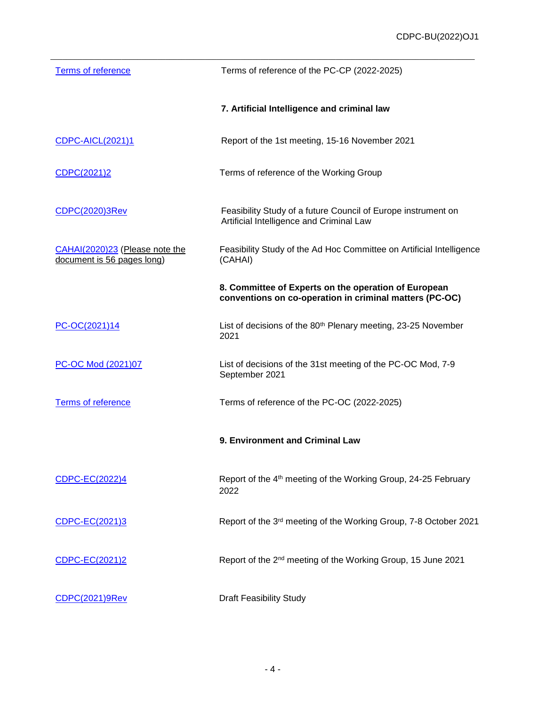| <b>Terms of reference</b>                                    | Terms of reference of the PC-CP (2022-2025)                                                                     |
|--------------------------------------------------------------|-----------------------------------------------------------------------------------------------------------------|
|                                                              | 7. Artificial Intelligence and criminal law                                                                     |
| <b>CDPC-AICL(2021)1</b>                                      | Report of the 1st meeting, 15-16 November 2021                                                                  |
| CDPC(2021)2                                                  | Terms of reference of the Working Group                                                                         |
| CDPC(2020)3Rev                                               | Feasibility Study of a future Council of Europe instrument on<br>Artificial Intelligence and Criminal Law       |
| CAHAI(2020)23 (Please note the<br>document is 56 pages long) | Feasibility Study of the Ad Hoc Committee on Artificial Intelligence<br>(CAHAI)                                 |
|                                                              | 8. Committee of Experts on the operation of European<br>conventions on co-operation in criminal matters (PC-OC) |
| PC-OC(2021)14                                                | List of decisions of the 80 <sup>th</sup> Plenary meeting, 23-25 November<br>2021                               |
| PC-OC Mod (2021)07                                           | List of decisions of the 31st meeting of the PC-OC Mod, 7-9<br>September 2021                                   |
| Terms of reference                                           | Terms of reference of the PC-OC (2022-2025)                                                                     |
|                                                              | 9. Environment and Criminal Law                                                                                 |
| CDPC-EC(2022)4                                               | Report of the 4 <sup>th</sup> meeting of the Working Group, 24-25 February<br>2022                              |
| CDPC-EC(2021)3                                               | Report of the 3rd meeting of the Working Group, 7-8 October 2021                                                |
| CDPC-EC(2021)2                                               | Report of the 2 <sup>nd</sup> meeting of the Working Group, 15 June 2021                                        |
| CDPC(2021)9Rev                                               | <b>Draft Feasibility Study</b>                                                                                  |

\_\_\_\_\_\_\_\_\_\_\_\_\_\_\_\_\_\_\_\_\_\_\_\_\_\_\_\_\_\_\_\_\_\_\_\_\_\_\_\_\_\_\_\_\_\_\_\_\_\_\_\_\_\_\_\_\_\_\_\_\_\_\_\_\_\_\_\_\_\_\_\_\_\_\_\_\_\_\_\_\_\_\_\_\_\_\_\_\_\_\_\_\_\_\_\_\_\_\_\_\_\_\_\_\_\_\_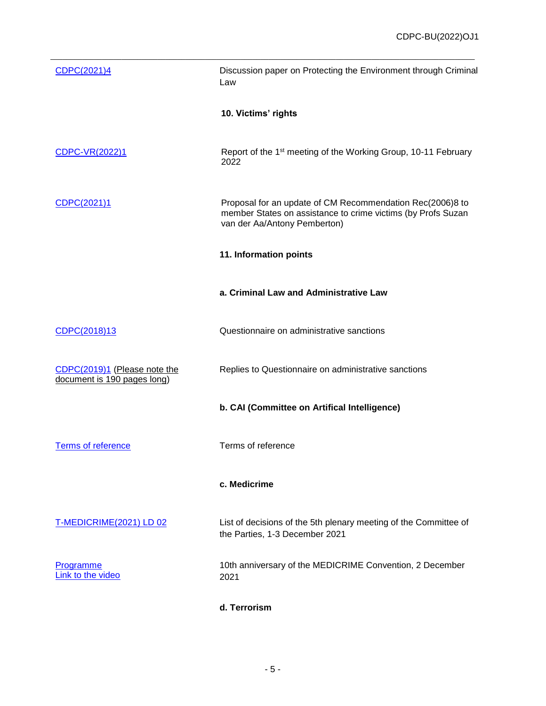| CDPC(2021)4                                                 | Discussion paper on Protecting the Environment through Criminal<br>Law                                                                                    |
|-------------------------------------------------------------|-----------------------------------------------------------------------------------------------------------------------------------------------------------|
|                                                             | 10. Victims' rights                                                                                                                                       |
| CDPC-VR(2022)1                                              | Report of the 1 <sup>st</sup> meeting of the Working Group, 10-11 February<br>2022                                                                        |
| CDPC(2021)1                                                 | Proposal for an update of CM Recommendation Rec(2006)8 to<br>member States on assistance to crime victims (by Profs Suzan<br>van der Aa/Antony Pemberton) |
|                                                             | 11. Information points                                                                                                                                    |
|                                                             | a. Criminal Law and Administrative Law                                                                                                                    |
| CDPC(2018)13                                                | Questionnaire on administrative sanctions                                                                                                                 |
| CDPC(2019)1 (Please note the<br>document is 190 pages long) | Replies to Questionnaire on administrative sanctions                                                                                                      |
|                                                             | b. CAI (Committee on Artifical Intelligence)                                                                                                              |
| Terms of reference                                          | Terms of reference                                                                                                                                        |
|                                                             | c. Medicrime                                                                                                                                              |
| T-MEDICRIME(2021) LD 02                                     | List of decisions of the 5th plenary meeting of the Committee of<br>the Parties, 1-3 December 2021                                                        |
| Programme<br>Link to the video                              | 10th anniversary of the MEDICRIME Convention, 2 December<br>2021                                                                                          |
|                                                             | d. Terrorism                                                                                                                                              |

\_\_\_\_\_\_\_\_\_\_\_\_\_\_\_\_\_\_\_\_\_\_\_\_\_\_\_\_\_\_\_\_\_\_\_\_\_\_\_\_\_\_\_\_\_\_\_\_\_\_\_\_\_\_\_\_\_\_\_\_\_\_\_\_\_\_\_\_\_\_\_\_\_\_\_\_\_\_\_\_\_\_\_\_\_\_\_\_\_\_\_\_\_\_\_\_\_\_\_\_\_\_\_\_\_\_\_